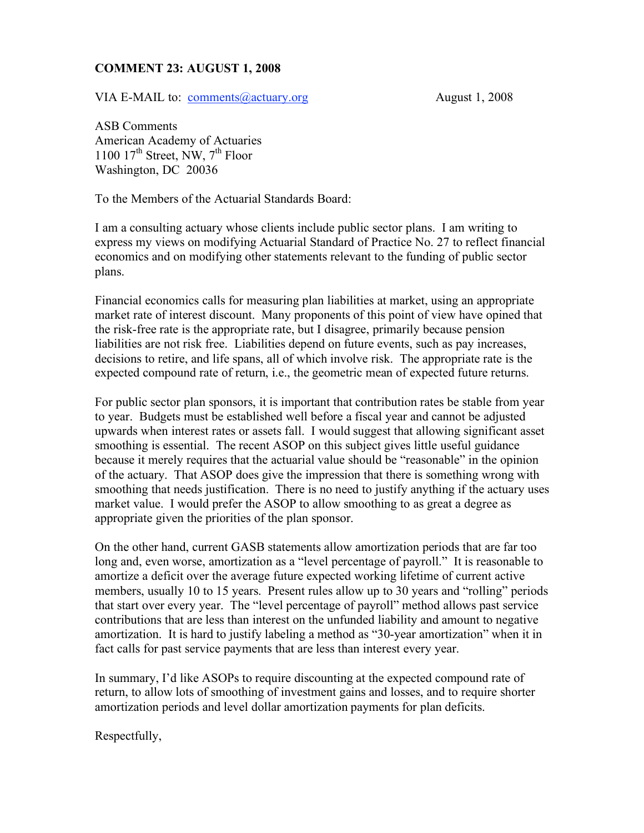## **COMMENT 23: AUGUST 1, 2008**

VIA E-MAIL to: <u>comments@actuary.org</u> August 1, 2008

ASB Comments American Academy of Actuaries 1100  $17^{th}$  Street, NW,  $7^{th}$  Floor Washington, DC 20036

To the Members of the Actuarial Standards Board:

I am a consulting actuary whose clients include public sector plans. I am writing to express my views on modifying Actuarial Standard of Practice No. 27 to reflect financial economics and on modifying other statements relevant to the funding of public sector plans.

Financial economics calls for measuring plan liabilities at market, using an appropriate market rate of interest discount. Many proponents of this point of view have opined that the risk-free rate is the appropriate rate, but I disagree, primarily because pension liabilities are not risk free. Liabilities depend on future events, such as pay increases, decisions to retire, and life spans, all of which involve risk. The appropriate rate is the expected compound rate of return, i.e., the geometric mean of expected future returns.

For public sector plan sponsors, it is important that contribution rates be stable from year to year. Budgets must be established well before a fiscal year and cannot be adjusted upwards when interest rates or assets fall. I would suggest that allowing significant asset smoothing is essential. The recent ASOP on this subject gives little useful guidance because it merely requires that the actuarial value should be "reasonable" in the opinion of the actuary. That ASOP does give the impression that there is something wrong with smoothing that needs justification. There is no need to justify anything if the actuary uses market value. I would prefer the ASOP to allow smoothing to as great a degree as appropriate given the priorities of the plan sponsor.

On the other hand, current GASB statements allow amortization periods that are far too long and, even worse, amortization as a "level percentage of payroll." It is reasonable to amortize a deficit over the average future expected working lifetime of current active members, usually 10 to 15 years. Present rules allow up to 30 years and "rolling" periods that start over every year. The "level percentage of payroll" method allows past service contributions that are less than interest on the unfunded liability and amount to negative amortization. It is hard to justify labeling a method as "30-year amortization" when it in fact calls for past service payments that are less than interest every year.

In summary, I'd like ASOPs to require discounting at the expected compound rate of return, to allow lots of smoothing of investment gains and losses, and to require shorter amortization periods and level dollar amortization payments for plan deficits.

Respectfully,